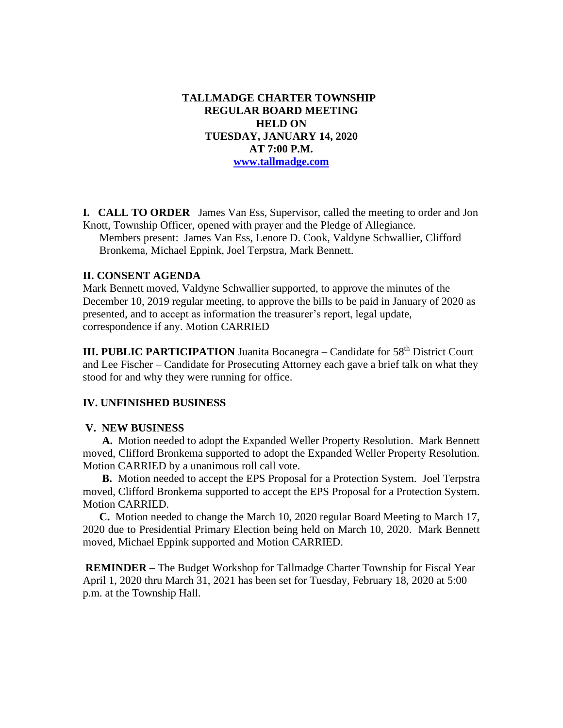**TALLMADGE CHARTER TOWNSHIP REGULAR BOARD MEETING HELD ON TUESDAY, JANUARY 14, 2020 AT 7:00 P.M. [www.tallmadge.com](http://www.tallmadge.com/)**

**I. CALL TO ORDER** James Van Ess, Supervisor, called the meeting to order and Jon Knott, Township Officer, opened with prayer and the Pledge of Allegiance. Members present: James Van Ess, Lenore D. Cook, Valdyne Schwallier, Clifford Bronkema, Michael Eppink, Joel Terpstra, Mark Bennett.

### **II. CONSENT AGENDA**

Mark Bennett moved, Valdyne Schwallier supported, to approve the minutes of the December 10, 2019 regular meeting, to approve the bills to be paid in January of 2020 as presented, and to accept as information the treasurer's report, legal update, correspondence if any. Motion CARRIED

**III. PUBLIC PARTICIPATION** Juanita Bocanegra – Candidate for 58<sup>th</sup> District Court and Lee Fischer – Candidate for Prosecuting Attorney each gave a brief talk on what they stood for and why they were running for office.

#### **IV. UNFINISHED BUSINESS**

#### **V. NEW BUSINESS**

 **A.** Motion needed to adopt the Expanded Weller Property Resolution. Mark Bennett moved, Clifford Bronkema supported to adopt the Expanded Weller Property Resolution. Motion CARRIED by a unanimous roll call vote.

 **B.** Motion needed to accept the EPS Proposal for a Protection System. Joel Terpstra moved, Clifford Bronkema supported to accept the EPS Proposal for a Protection System. Motion CARRIED.

 **C.** Motion needed to change the March 10, 2020 regular Board Meeting to March 17, 2020 due to Presidential Primary Election being held on March 10, 2020. Mark Bennett moved, Michael Eppink supported and Motion CARRIED.

**REMINDER –** The Budget Workshop for Tallmadge Charter Township for Fiscal Year April 1, 2020 thru March 31, 2021 has been set for Tuesday, February 18, 2020 at 5:00 p.m. at the Township Hall.